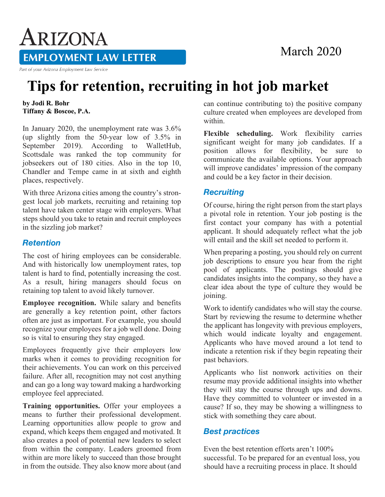### March 2020

# ARIZONA **EMPLOYMENT LAW LETTER**

Part of your Arizona Employment Law Service

## **Tips for retention, recruiting in hot job market**

**by Jodi R. Bohr Tiffany & Boscoe, P.A.**

In January 2020, the unemployment rate was 3.6% (up slightly from the 50-year low of 3.5% in September 2019). According to WalletHub, Scottsdale was ranked the top community for jobseekers out of 180 cities. Also in the top 10, Chandler and Tempe came in at sixth and eighth places, respectively.

With three Arizona cities among the country's strongest local job markets, recruiting and retaining top talent have taken center stage with employers. What steps should you take to retain and recruit employees in the sizzling job market?

#### *Retention*

The cost of hiring employees can be considerable. And with historically low unemployment rates, top talent is hard to find, potentially increasing the cost. As a result, hiring managers should focus on retaining top talent to avoid likely turnover.

**Employee recognition.** While salary and benefits are generally a key retention point, other factors often are just as important. For example, you should recognize your employees for a job well done. Doing so is vital to ensuring they stay engaged.

Employees frequently give their employers low marks when it comes to providing recognition for their achievements. You can work on this perceived failure. After all, recognition may not cost anything and can go a long way toward making a hardworking employee feel appreciated.

**Training opportunities.** Offer your employees a means to further their professional development. Learning opportunities allow people to grow and expand, which keeps them engaged and motivated. It also creates a pool of potential new leaders to select from within the company. Leaders groomed from within are more likely to succeed than those brought in from the outside. They also know more about (and

can continue contributing to) the positive company culture created when employees are developed from within.

**Flexible scheduling.** Work flexibility carries significant weight for many job candidates. If a position allows for flexibility, be sure to communicate the available options. Your approach will improve candidates' impression of the company and could be a key factor in their decision.

#### *Recruiting*

Of course, hiring the right person from the start plays a pivotal role in retention. Your job posting is the first contact your company has with a potential applicant. It should adequately reflect what the job will entail and the skill set needed to perform it.

When preparing a posting, you should rely on current job descriptions to ensure you hear from the right pool of applicants. The postings should give candidates insights into the company, so they have a clear idea about the type of culture they would be joining.

Work to identify candidates who will stay the course. Start by reviewing the resume to determine whether the applicant has longevity with previous employers, which would indicate loyalty and engagement. Applicants who have moved around a lot tend to indicate a retention risk if they begin repeating their past behaviors.

Applicants who list nonwork activities on their resume may provide additional insights into whether they will stay the course through ups and downs. Have they committed to volunteer or invested in a cause? If so, they may be showing a willingness to stick with something they care about.

#### *Best practices*

Even the best retention efforts aren't 100% successful. To be prepared for an eventual loss, you should have a recruiting process in place. It should